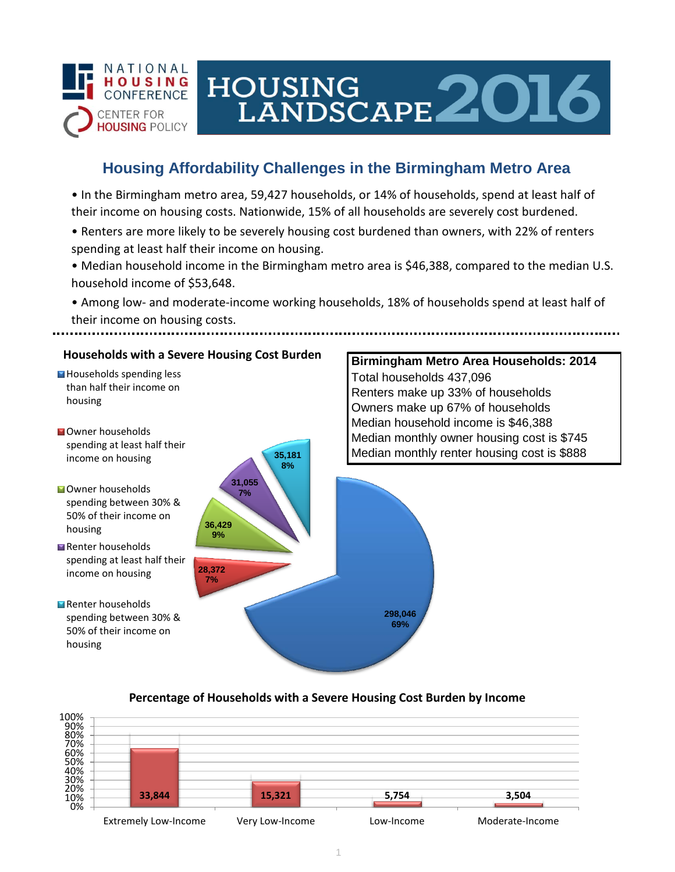

# HOUSING<br>LANDSCAPE 2016

## **Housing Affordability Challenges in the Birmingham Metro Area**

• In the Birmingham metro area, 59,427 households, or 14% of households, spend at least half of their income on housing costs. Nationwide, 15% of all households are severely cost burdened.

- Renters are more likely to be severely housing cost burdened than owners, with 22% of renters spending at least half their income on housing.
- Median household income in the Birmingham metro area is \$46,388, compared to the median U.S. household income of \$53,648.

• Among low- and moderate-income working households, 18% of households spend at least half of their income on housing costs.

## **Households with a Severe Housing Cost Burden**

- Households spending less than half their income on housing
- **N**Owner households spending at least half their income on housing
- **Owner households** spending between 30% & 50% of their income on housing
- Renter households spending at least half their income on housing
- Renter households spending between 30% & 50% of their income on housing



## **Birmingham Metro Area Households: 2014** Total households 437,096 Renters make up 33% of households Owners make up 67% of households Median household income is \$46,388 Median monthly owner housing cost is \$745 Median monthly renter housing cost is \$888

#### **Percentage of Households with a Severe Housing Cost Burden by Income**